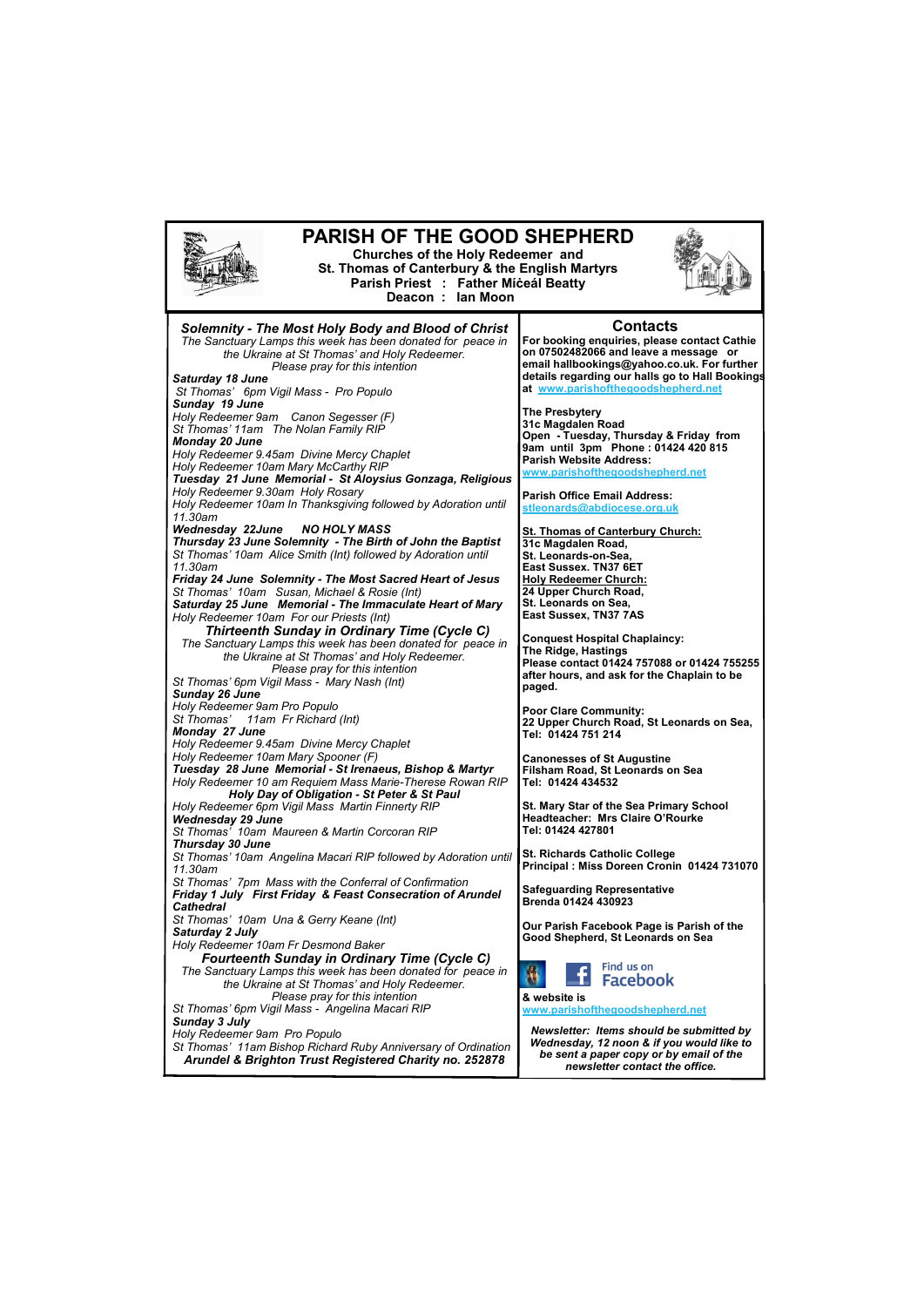

*Please pray for this intention St Thomas' 6pm Vigil Mass - Angelina Macari RIP Sunday 3 July Holy Redeemer 9am Pro Populo St Thomas' 11am Bishop Richard Ruby Anniversary of Ordination Arundel & Brighton Trust Registered Charity no. 252878*

**& website is [www.parishofthegoodshepherd.net](mailto:www.parishofthegoodshepherd.net)**

*Newsletter: Items should be submitted by Wednesday, 12 noon & if you would like to be sent a paper copy or by email of the newsletter contact the office.*